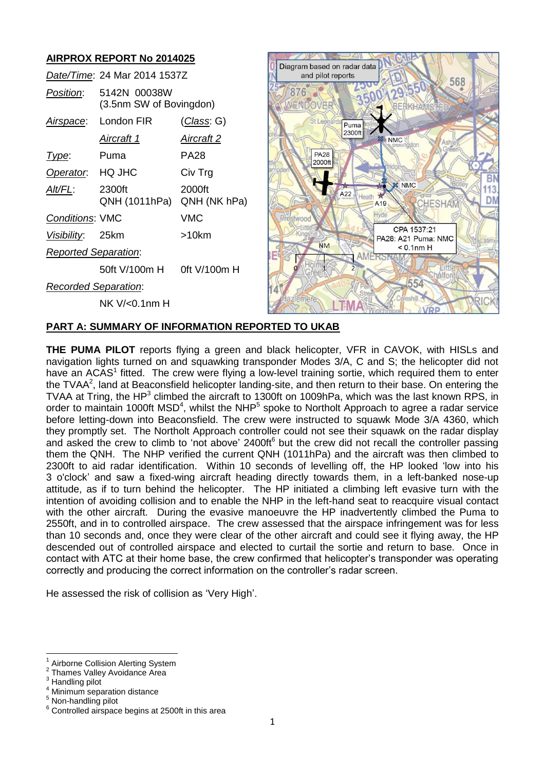# **AIRPROX REPORT No 2014025**

|                             | Date/Time: 24 Mar 2014 1537Z            |                        |
|-----------------------------|-----------------------------------------|------------------------|
| Position:                   | 5142N 00038W<br>(3.5nm SW of Bovingdon) |                        |
|                             | Airspace: London FIR                    | <u>(Class</u> : G)     |
|                             | <u>Aircraft 1</u>                       | Aircraft 2             |
| Type:                       | Puma                                    | PA28                   |
| Operator. HQ JHC            |                                         | Civ Trg                |
| Alt/FL:                     | 2300ft<br>QNH (1011hPa)                 | 2000ft<br>QNH (NK hPa) |
| <b>Conditions: VMC</b>      |                                         | VMC                    |
| Visibility: 25km            |                                         | >10km                  |
| <b>Reported Separation:</b> |                                         |                        |
|                             | 50ft V/100m H 0ft V/100m H              |                        |
| <b>Recorded Separation:</b> |                                         |                        |
|                             | NK V/<0.1nm H                           |                        |



### **PART A: SUMMARY OF INFORMATION REPORTED TO UKAB**

**THE PUMA PILOT** reports flying a green and black helicopter, VFR in CAVOK, with HISLs and navigation lights turned on and squawking transponder Modes 3/A, C and S; the helicopter did not have an ACAS<sup>1</sup> fitted. The crew were flying a low-level training sortie, which required them to enter the TVAA<sup>2</sup>, land at Beaconsfield helicopter landing-site, and then return to their base. On entering the TVAA at Tring, the HP<sup>3</sup> climbed the aircraft to 1300ft on 1009hPa, which was the last known RPS, in order to maintain 1000ft MSD<sup>4</sup>, whilst the NHP<sup>5</sup> spoke to Northolt Approach to agree a radar service before letting-down into Beaconsfield. The crew were instructed to squawk Mode 3/A 4360, which they promptly set. The Northolt Approach controller could not see their squawk on the radar display and asked the crew to climb to 'not above' 2400ft<sup>6</sup> but the crew did not recall the controller passing them the QNH. The NHP verified the current QNH (1011hPa) and the aircraft was then climbed to 2300ft to aid radar identification. Within 10 seconds of levelling off, the HP looked 'low into his 3 o'clock' and saw a fixed-wing aircraft heading directly towards them, in a left-banked nose-up attitude, as if to turn behind the helicopter. The HP initiated a climbing left evasive turn with the intention of avoiding collision and to enable the NHP in the left-hand seat to reacquire visual contact with the other aircraft. During the evasive manoeuvre the HP inadvertently climbed the Puma to 2550ft, and in to controlled airspace. The crew assessed that the airspace infringement was for less than 10 seconds and, once they were clear of the other aircraft and could see it flying away, the HP descended out of controlled airspace and elected to curtail the sortie and return to base. Once in contact with ATC at their home base, the crew confirmed that helicopter's transponder was operating correctly and producing the correct information on the controller's radar screen.

He assessed the risk of collision as 'Very High'.

 $\overline{a}$ 1 Airborne Collision Alerting System

 $\overline{2}$ Thames Valley Avoidance Area

<sup>&</sup>lt;sup>3</sup> Handling pilot

Minimum separation distance

<sup>5</sup> Non-handling pilot

<sup>6</sup> Controlled airspace begins at 2500ft in this area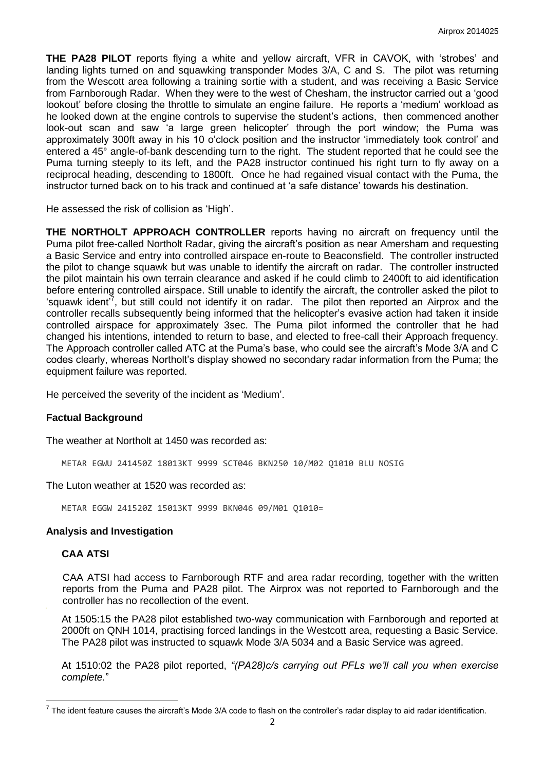**THE PA28 PILOT** reports flying a white and yellow aircraft, VFR in CAVOK, with 'strobes' and landing lights turned on and squawking transponder Modes 3/A, C and S. The pilot was returning from the Wescott area following a training sortie with a student, and was receiving a Basic Service from Farnborough Radar. When they were to the west of Chesham, the instructor carried out a 'good lookout' before closing the throttle to simulate an engine failure. He reports a 'medium' workload as he looked down at the engine controls to supervise the student's actions, then commenced another look-out scan and saw 'a large green helicopter' through the port window; the Puma was approximately 300ft away in his 10 o'clock position and the instructor 'immediately took control' and entered a 45° angle-of-bank descending turn to the right. The student reported that he could see the Puma turning steeply to its left, and the PA28 instructor continued his right turn to fly away on a reciprocal heading, descending to 1800ft. Once he had regained visual contact with the Puma, the instructor turned back on to his track and continued at 'a safe distance' towards his destination.

He assessed the risk of collision as 'High'.

**THE NORTHOLT APPROACH CONTROLLER** reports having no aircraft on frequency until the Puma pilot free-called Northolt Radar, giving the aircraft's position as near Amersham and requesting a Basic Service and entry into controlled airspace en-route to Beaconsfield. The controller instructed the pilot to change squawk but was unable to identify the aircraft on radar. The controller instructed the pilot maintain his own terrain clearance and asked if he could climb to 2400ft to aid identification before entering controlled airspace. Still unable to identify the aircraft, the controller asked the pilot to 'squawk ident<sup>'7</sup>, but still could not identify it on radar. The pilot then reported an Airprox and the controller recalls subsequently being informed that the helicopter's evasive action had taken it inside controlled airspace for approximately 3sec. The Puma pilot informed the controller that he had changed his intentions, intended to return to base, and elected to free-call their Approach frequency. The Approach controller called ATC at the Puma's base, who could see the aircraft's Mode 3/A and C codes clearly, whereas Northolt's display showed no secondary radar information from the Puma; the equipment failure was reported.

He perceived the severity of the incident as 'Medium'.

#### **Factual Background**

The weather at Northolt at 1450 was recorded as:

METAR EGWU 241450Z 18013KT 9999 SCT046 BKN250 10/M02 Q1010 BLU NOSIG

The Luton weather at 1520 was recorded as:

METAR EGGW 241520Z 15013KT 9999 BKN046 09/M01 Q1010=

### **Analysis and Investigation**

#### **CAA ATSI**

CAA ATSI had access to Farnborough RTF and area radar recording, together with the written reports from the Puma and PA28 pilot. The Airprox was not reported to Farnborough and the controller has no recollection of the event.

At 1505:15 the PA28 pilot established two-way communication with Farnborough and reported at 2000ft on QNH 1014, practising forced landings in the Westcott area, requesting a Basic Service. The PA28 pilot was instructed to squawk Mode 3/A 5034 and a Basic Service was agreed.

At 1510:02 the PA28 pilot reported, *"(PA28)c/s carrying out PFLs we'll call you when exercise complete.*"

 7 The ident feature causes the aircraft's Mode 3/A code to flash on the controller's radar display to aid radar identification.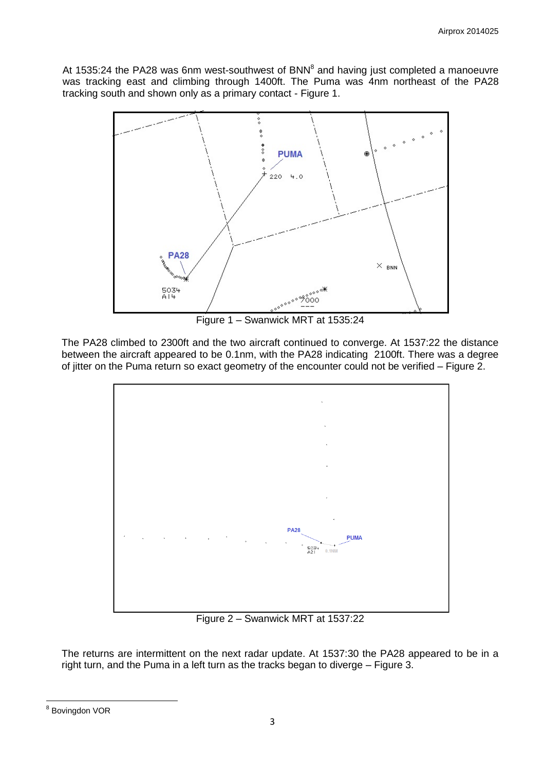At 1535:24 the PA28 was 6nm west-southwest of BNN $^8$  and having just completed a manoeuvre was tracking east and climbing through 1400ft. The Puma was 4nm northeast of the PA28 tracking south and shown only as a primary contact - Figure 1.



Figure 1 – Swanwick MRT at 1535:24

The PA28 climbed to 2300ft and the two aircraft continued to converge. At 1537:22 the distance between the aircraft appeared to be 0.1nm, with the PA28 indicating 2100ft. There was a degree of jitter on the Puma return so exact geometry of the encounter could not be verified – Figure 2.



Figure 2 – Swanwick MRT at 1537:22

The returns are intermittent on the next radar update. At 1537:30 the PA28 appeared to be in a right turn, and the Puma in a left turn as the tracks began to diverge – Figure 3.

 8 Bovingdon VOR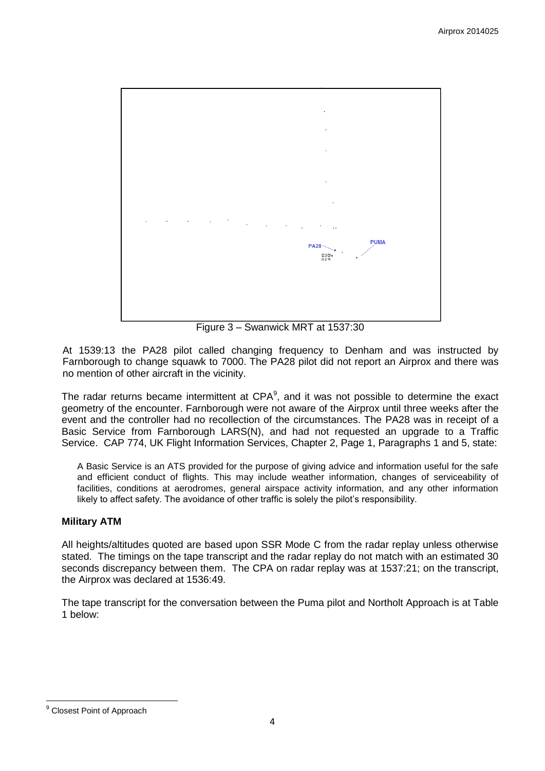

Figure 3 – Swanwick MRT at 1537:30

At 1539:13 the PA28 pilot called changing frequency to Denham and was instructed by Farnborough to change squawk to 7000. The PA28 pilot did not report an Airprox and there was no mention of other aircraft in the vicinity.

The radar returns became intermittent at  $\text{CPA}^9$ , and it was not possible to determine the exact geometry of the encounter. Farnborough were not aware of the Airprox until three weeks after the event and the controller had no recollection of the circumstances. The PA28 was in receipt of a Basic Service from Farnborough LARS(N), and had not requested an upgrade to a Traffic Service. CAP 774, UK Flight Information Services, Chapter 2, Page 1, Paragraphs 1 and 5, state:

A Basic Service is an ATS provided for the purpose of giving advice and information useful for the safe and efficient conduct of flights. This may include weather information, changes of serviceability of facilities, conditions at aerodromes, general airspace activity information, and any other information likely to affect safety. The avoidance of other traffic is solely the pilot's responsibility.

### **Military ATM**

All heights/altitudes quoted are based upon SSR Mode C from the radar replay unless otherwise stated. The timings on the tape transcript and the radar replay do not match with an estimated 30 seconds discrepancy between them. The CPA on radar replay was at 1537:21; on the transcript, the Airprox was declared at 1536:49.

The tape transcript for the conversation between the Puma pilot and Northolt Approach is at Table 1 below:

 $\overline{\phantom{a}}$ <sup>9</sup> Closest Point of Approach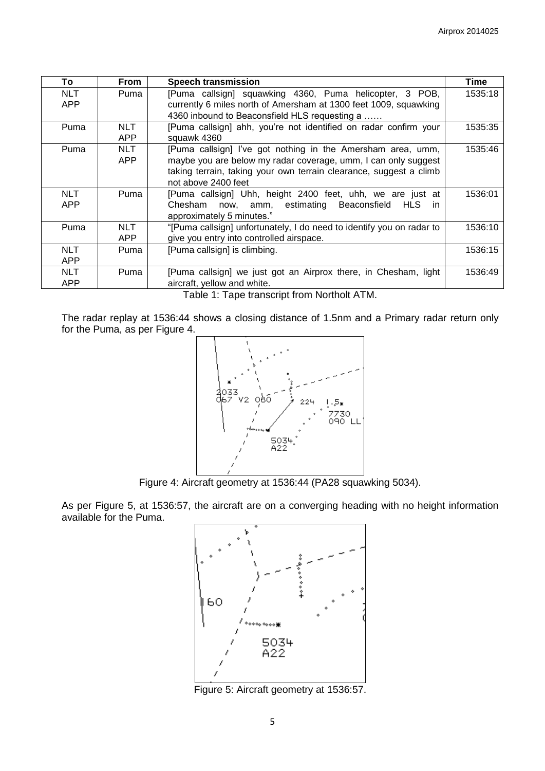| To                       | From                     | <b>Speech transmission</b>                                                                                                                                                                                                 | Time    |
|--------------------------|--------------------------|----------------------------------------------------------------------------------------------------------------------------------------------------------------------------------------------------------------------------|---------|
| <b>NLT</b><br><b>APP</b> | Puma                     | [Puma callsign] squawking 4360, Puma helicopter, 3 POB,<br>currently 6 miles north of Amersham at 1300 feet 1009, squawking                                                                                                | 1535:18 |
|                          |                          | 4360 inbound to Beaconsfield HLS requesting a                                                                                                                                                                              |         |
| Puma                     | NLT.<br><b>APP</b>       | [Puma callsign] ahh, you're not identified on radar confirm your<br>squawk 4360                                                                                                                                            | 1535:35 |
| Puma                     | <b>NLT</b><br><b>APP</b> | [Puma callsign] I've got nothing in the Amersham area, umm,<br>maybe you are below my radar coverage, umm, I can only suggest<br>taking terrain, taking your own terrain clearance, suggest a climb<br>not above 2400 feet | 1535:46 |
| <b>NLT</b><br><b>APP</b> | Puma                     | [Puma callsign] Uhh, height 2400 feet, uhh, we are just at<br>now, amm, estimating Beaconsfield<br>Chesham<br>HLS.<br>-in<br>approximately 5 minutes."                                                                     | 1536:01 |
| Puma                     | NLT.<br>APP              | "[Puma callsign] unfortunately, I do need to identify you on radar to<br>give you entry into controlled airspace.                                                                                                          | 1536:10 |
| <b>NLT</b><br>APP        | Puma                     | [Puma callsign] is climbing.                                                                                                                                                                                               | 1536:15 |
| <b>NLT</b><br><b>APP</b> | Puma                     | [Puma callsign] we just got an Airprox there, in Chesham, light<br>aircraft, yellow and white.                                                                                                                             | 1536:49 |

Table 1: Tape transcript from Northolt ATM.

The radar replay at 1536:44 shows a closing distance of 1.5nm and a Primary radar return only for the Puma, as per Figure 4.



Figure 4: Aircraft geometry at 1536:44 (PA28 squawking 5034).

As per Figure 5, at 1536:57, the aircraft are on a converging heading with no height information available for the Puma.



Figure 5: Aircraft geometry at 1536:57.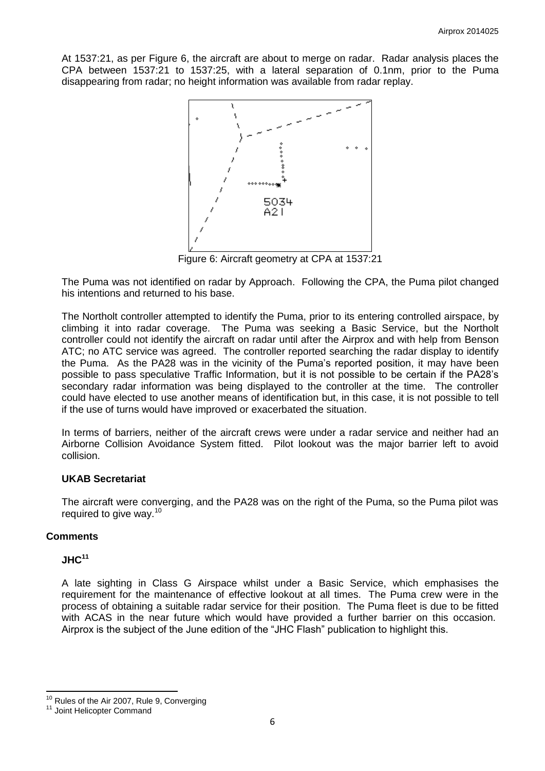At 1537:21, as per Figure 6, the aircraft are about to merge on radar. Radar analysis places the CPA between 1537:21 to 1537:25, with a lateral separation of 0.1nm, prior to the Puma disappearing from radar; no height information was available from radar replay.



Figure 6: Aircraft geometry at CPA at 1537:21

The Puma was not identified on radar by Approach. Following the CPA, the Puma pilot changed his intentions and returned to his base.

The Northolt controller attempted to identify the Puma, prior to its entering controlled airspace, by climbing it into radar coverage. The Puma was seeking a Basic Service, but the Northolt controller could not identify the aircraft on radar until after the Airprox and with help from Benson ATC; no ATC service was agreed. The controller reported searching the radar display to identify the Puma. As the PA28 was in the vicinity of the Puma's reported position, it may have been possible to pass speculative Traffic Information, but it is not possible to be certain if the PA28's secondary radar information was being displayed to the controller at the time. The controller could have elected to use another means of identification but, in this case, it is not possible to tell if the use of turns would have improved or exacerbated the situation.

In terms of barriers, neither of the aircraft crews were under a radar service and neither had an Airborne Collision Avoidance System fitted. Pilot lookout was the major barrier left to avoid collision.

#### **UKAB Secretariat**

The aircraft were converging, and the PA28 was on the right of the Puma, so the Puma pilot was required to give way.<sup>10</sup>

### **Comments**

## **JHC<sup>11</sup>**

 $\overline{\phantom{a}}$ 

A late sighting in Class G Airspace whilst under a Basic Service, which emphasises the requirement for the maintenance of effective lookout at all times. The Puma crew were in the process of obtaining a suitable radar service for their position. The Puma fleet is due to be fitted with ACAS in the near future which would have provided a further barrier on this occasion. Airprox is the subject of the June edition of the "JHC Flash" publication to highlight this.

<sup>&</sup>lt;sup>10</sup> Rules of the Air 2007, Rule 9, Converging

<sup>&</sup>lt;sup>11</sup> Joint Helicopter Command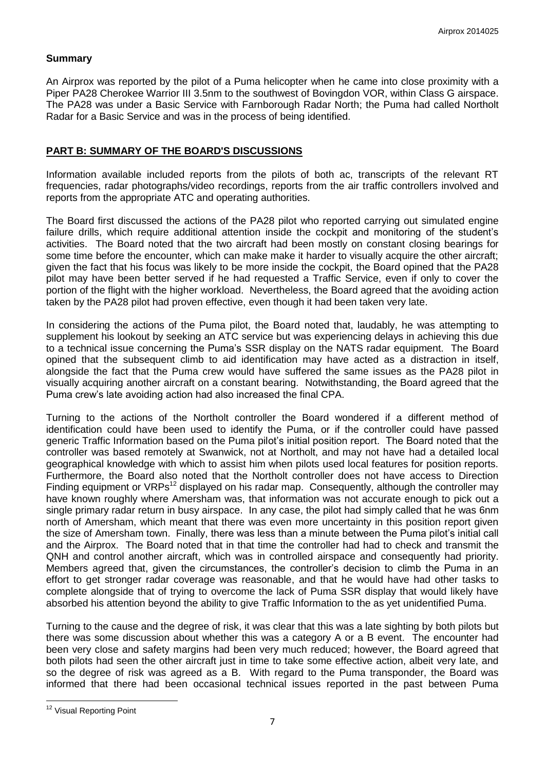### **Summary**

An Airprox was reported by the pilot of a Puma helicopter when he came into close proximity with a Piper PA28 Cherokee Warrior III 3.5nm to the southwest of Bovingdon VOR, within Class G airspace. The PA28 was under a Basic Service with Farnborough Radar North; the Puma had called Northolt Radar for a Basic Service and was in the process of being identified.

### **PART B: SUMMARY OF THE BOARD'S DISCUSSIONS**

Information available included reports from the pilots of both ac, transcripts of the relevant RT frequencies, radar photographs/video recordings, reports from the air traffic controllers involved and reports from the appropriate ATC and operating authorities.

The Board first discussed the actions of the PA28 pilot who reported carrying out simulated engine failure drills, which require additional attention inside the cockpit and monitoring of the student's activities. The Board noted that the two aircraft had been mostly on constant closing bearings for some time before the encounter, which can make make it harder to visually acquire the other aircraft; given the fact that his focus was likely to be more inside the cockpit, the Board opined that the PA28 pilot may have been better served if he had requested a Traffic Service, even if only to cover the portion of the flight with the higher workload. Nevertheless, the Board agreed that the avoiding action taken by the PA28 pilot had proven effective, even though it had been taken very late.

In considering the actions of the Puma pilot, the Board noted that, laudably, he was attempting to supplement his lookout by seeking an ATC service but was experiencing delays in achieving this due to a technical issue concerning the Puma's SSR display on the NATS radar equipment. The Board opined that the subsequent climb to aid identification may have acted as a distraction in itself, alongside the fact that the Puma crew would have suffered the same issues as the PA28 pilot in visually acquiring another aircraft on a constant bearing. Notwithstanding, the Board agreed that the Puma crew's late avoiding action had also increased the final CPA.

Turning to the actions of the Northolt controller the Board wondered if a different method of identification could have been used to identify the Puma, or if the controller could have passed generic Traffic Information based on the Puma pilot's initial position report. The Board noted that the controller was based remotely at Swanwick, not at Northolt, and may not have had a detailed local geographical knowledge with which to assist him when pilots used local features for position reports. Furthermore, the Board also noted that the Northolt controller does not have access to Direction Finding equipment or  $VRPs^{12}$  displayed on his radar map. Consequently, although the controller may have known roughly where Amersham was, that information was not accurate enough to pick out a single primary radar return in busy airspace. In any case, the pilot had simply called that he was 6nm north of Amersham, which meant that there was even more uncertainty in this position report given the size of Amersham town. Finally, there was less than a minute between the Puma pilot's initial call and the Airprox. The Board noted that in that time the controller had had to check and transmit the QNH and control another aircraft, which was in controlled airspace and consequently had priority. Members agreed that, given the circumstances, the controller's decision to climb the Puma in an effort to get stronger radar coverage was reasonable, and that he would have had other tasks to complete alongside that of trying to overcome the lack of Puma SSR display that would likely have absorbed his attention beyond the ability to give Traffic Information to the as yet unidentified Puma.

Turning to the cause and the degree of risk, it was clear that this was a late sighting by both pilots but there was some discussion about whether this was a category A or a B event. The encounter had been very close and safety margins had been very much reduced; however, the Board agreed that both pilots had seen the other aircraft just in time to take some effective action, albeit very late, and so the degree of risk was agreed as a B. With regard to the Puma transponder, the Board was informed that there had been occasional technical issues reported in the past between Puma

 $\overline{\phantom{a}}$ <sup>12</sup> Visual Reporting Point